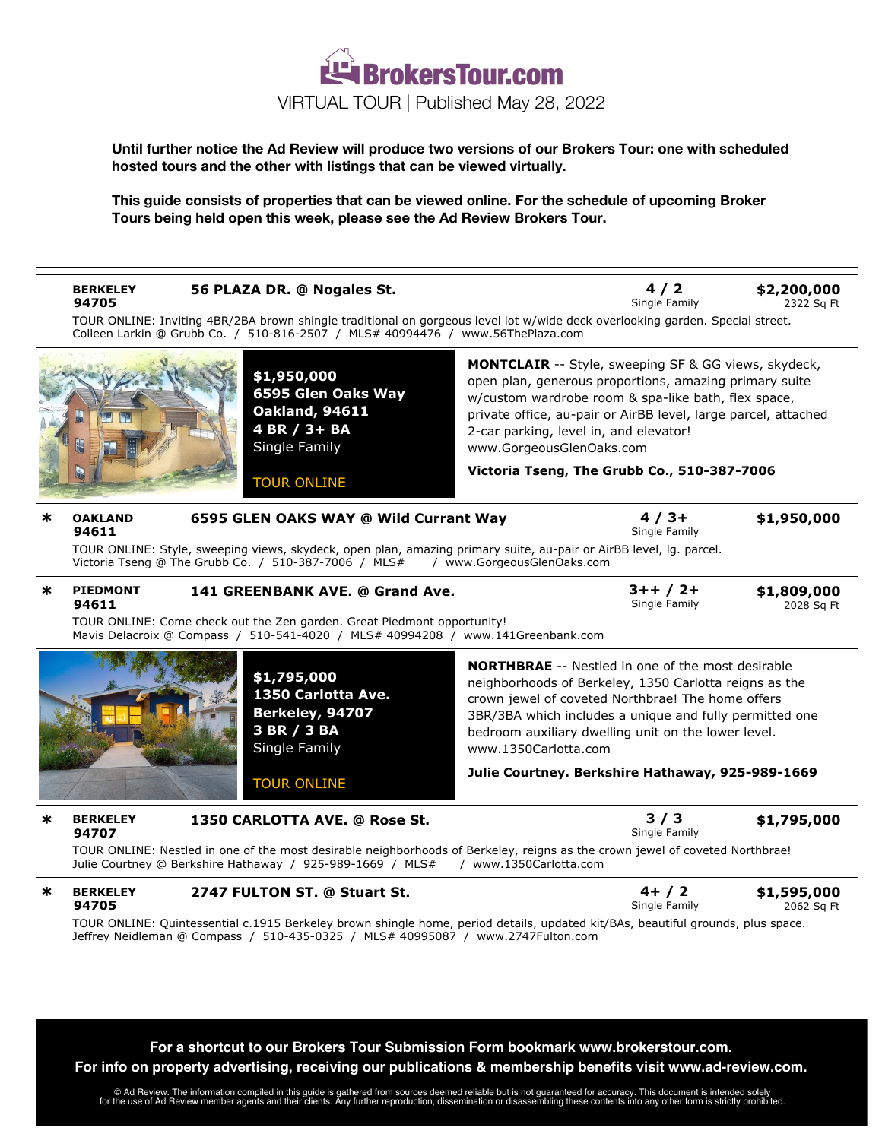

**Until further notice the Ad Review will produce two versions of our Brokers Tour: one with scheduled hosted tours and the other with listings that can be viewed virtually.**

**This guide consists of properties that can be viewed online. For the schedule of upcoming Broker Tours being held open this week, please see the Ad Review Brokers Tour.**

| ж<br><b>OAKLAND</b><br>94611<br>ж<br><b>PIEDMONT</b><br>94611 | TOUR ONLINE: Inviting 4BR/2BA brown shingle traditional on gorgeous level lot w/wide deck overlooking garden. Special street.<br>Colleen Larkin @ Grubb Co. / 510-816-2507 / MLS# 40994476 / www.56ThePlaza.com<br>\$1,950,000<br>6595 Glen Oaks Way<br><b>Oakland, 94611</b><br>4 BR / 3+ BA<br>Single Family<br><b>TOUR ONLINE</b><br>6595 GLEN OAKS WAY @ Wild Currant Way<br>TOUR ONLINE: Style, sweeping views, skydeck, open plan, amazing primary suite, au-pair or AirBB level, Ig. parcel.<br>Victoria Tseng @ The Grubb Co. / 510-387-7006 / MLS#<br>141 GREENBANK AVE. @ Grand Ave. | www.GorgeousGlenOaks.com<br>/ www.GorgeousGlenOaks.com | <b>MONTCLAIR</b> -- Style, sweeping SF & GG views, skydeck,<br>open plan, generous proportions, amazing primary suite<br>w/custom wardrobe room & spa-like bath, flex space,<br>private office, au-pair or AirBB level, large parcel, attached<br>2-car parking, level in, and elevator!<br>Victoria Tseng, The Grubb Co., 510-387-7006<br>$4/3+$<br>Single Family | \$1,950,000               |
|---------------------------------------------------------------|------------------------------------------------------------------------------------------------------------------------------------------------------------------------------------------------------------------------------------------------------------------------------------------------------------------------------------------------------------------------------------------------------------------------------------------------------------------------------------------------------------------------------------------------------------------------------------------------|--------------------------------------------------------|--------------------------------------------------------------------------------------------------------------------------------------------------------------------------------------------------------------------------------------------------------------------------------------------------------------------------------------------------------------------|---------------------------|
|                                                               |                                                                                                                                                                                                                                                                                                                                                                                                                                                                                                                                                                                                |                                                        |                                                                                                                                                                                                                                                                                                                                                                    |                           |
|                                                               |                                                                                                                                                                                                                                                                                                                                                                                                                                                                                                                                                                                                |                                                        |                                                                                                                                                                                                                                                                                                                                                                    |                           |
|                                                               |                                                                                                                                                                                                                                                                                                                                                                                                                                                                                                                                                                                                |                                                        |                                                                                                                                                                                                                                                                                                                                                                    |                           |
|                                                               |                                                                                                                                                                                                                                                                                                                                                                                                                                                                                                                                                                                                |                                                        |                                                                                                                                                                                                                                                                                                                                                                    |                           |
|                                                               |                                                                                                                                                                                                                                                                                                                                                                                                                                                                                                                                                                                                |                                                        |                                                                                                                                                                                                                                                                                                                                                                    |                           |
|                                                               |                                                                                                                                                                                                                                                                                                                                                                                                                                                                                                                                                                                                |                                                        | $3++/2+$<br>Single Family                                                                                                                                                                                                                                                                                                                                          | \$1,809,000<br>2028 Sq Ft |
|                                                               | TOUR ONLINE: Come check out the Zen garden. Great Piedmont opportunity!<br>Mavis Delacroix @ Compass / 510-541-4020 / MLS# 40994208 / www.141Greenbank.com                                                                                                                                                                                                                                                                                                                                                                                                                                     |                                                        |                                                                                                                                                                                                                                                                                                                                                                    |                           |
|                                                               | \$1,795,000<br>1350 Carlotta Ave.<br>Berkeley, 94707<br>3 BR / 3 BA<br>Single Family<br><b>TOUR ONLINE</b>                                                                                                                                                                                                                                                                                                                                                                                                                                                                                     | www.1350Carlotta.com                                   | <b>NORTHBRAE</b> -- Nestled in one of the most desirable<br>neighborhoods of Berkeley, 1350 Carlotta reigns as the<br>crown jewel of coveted Northbrae! The home offers<br>3BR/3BA which includes a unique and fully permitted one<br>bedroom auxiliary dwelling unit on the lower level.<br>Julie Courtney. Berkshire Hathaway, 925-989-1669                      |                           |
| ж<br><b>BERKELEY</b><br>94707                                 | 1350 CARLOTTA AVE. @ Rose St.                                                                                                                                                                                                                                                                                                                                                                                                                                                                                                                                                                  |                                                        | 3/3<br>Single Family                                                                                                                                                                                                                                                                                                                                               | \$1,795,000               |
|                                                               | TOUR ONLINE: Nestled in one of the most desirable neighborhoods of Berkeley, reigns as the crown jewel of coveted Northbrae!<br>Julie Courtney @ Berkshire Hathaway / 925-989-1669 / MLS#                                                                                                                                                                                                                                                                                                                                                                                                      | / www.1350Carlotta.com                                 |                                                                                                                                                                                                                                                                                                                                                                    |                           |
| <b>BERKELEY</b><br>∗<br>94705                                 | 2747 FULTON ST. @ Stuart St.                                                                                                                                                                                                                                                                                                                                                                                                                                                                                                                                                                   |                                                        | $4+ / 2$<br>Single Family                                                                                                                                                                                                                                                                                                                                          | \$1,595,000<br>2062 Sq Ft |
|                                                               | TOUR ONLINE: Quintessential c.1915 Berkeley brown shingle home, period details, updated kit/BAs, beautiful grounds, plus space.<br>Jeffrey Neidleman @ Compass / 510-435-0325 / MLS# 40995087 / www.2747Fulton.com                                                                                                                                                                                                                                                                                                                                                                             |                                                        |                                                                                                                                                                                                                                                                                                                                                                    |                           |

Ad Review. The information compiled in this guide is gathered from sources deemed reliable but is not guaranteed for accuracy. This document is intended solely @<br>for the use of Ad Review member agents and their clients. An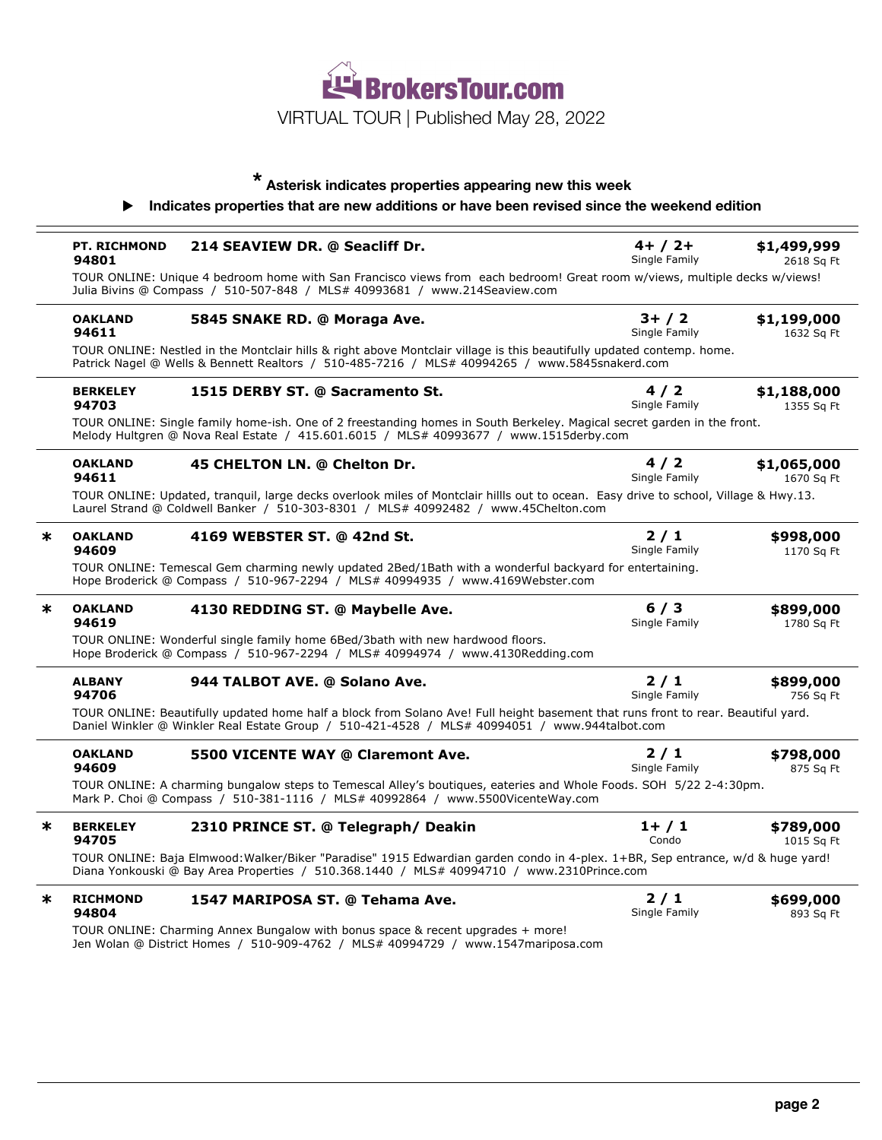

## **\* Asterisk indicates properties appearing new this week**

## ! **Indicates properties that are new additions or have been revised since the weekend edition**

|                                                                                                                                                                                                                            | <b>PT. RICHMOND</b><br>94801                                                                                                                                    | 214 SEAVIEW DR. @ Seacliff Dr.                                                                                                                                                                                                     | $4+ / 2+$<br>Single Family | \$1,499,999<br>2618 Sq Ft |
|----------------------------------------------------------------------------------------------------------------------------------------------------------------------------------------------------------------------------|-----------------------------------------------------------------------------------------------------------------------------------------------------------------|------------------------------------------------------------------------------------------------------------------------------------------------------------------------------------------------------------------------------------|----------------------------|---------------------------|
|                                                                                                                                                                                                                            |                                                                                                                                                                 | TOUR ONLINE: Unique 4 bedroom home with San Francisco views from each bedroom! Great room w/views, multiple decks w/views!<br>Julia Bivins @ Compass / 510-507-848 / MLS# 40993681 / www.214Seaview.com                            |                            |                           |
|                                                                                                                                                                                                                            | <b>OAKLAND</b><br>94611                                                                                                                                         | 5845 SNAKE RD. @ Moraga Ave.                                                                                                                                                                                                       | $3+ / 2$<br>Single Family  | \$1,199,000<br>1632 Sq Ft |
|                                                                                                                                                                                                                            |                                                                                                                                                                 | TOUR ONLINE: Nestled in the Montclair hills & right above Montclair village is this beautifully updated contemp. home.<br>Patrick Nagel @ Wells & Bennett Realtors / 510-485-7216 / MLS# 40994265 / www.5845snakerd.com            |                            |                           |
|                                                                                                                                                                                                                            | <b>BERKELEY</b><br>94703                                                                                                                                        | 1515 DERBY ST. @ Sacramento St.                                                                                                                                                                                                    | 4/2<br>Single Family       | \$1,188,000<br>1355 Sq Ft |
|                                                                                                                                                                                                                            |                                                                                                                                                                 | TOUR ONLINE: Single family home-ish. One of 2 freestanding homes in South Berkeley. Magical secret garden in the front.<br>Melody Hultgren @ Nova Real Estate / 415.601.6015 / MLS# 40993677 / www.1515derby.com                   |                            |                           |
|                                                                                                                                                                                                                            | <b>OAKLAND</b><br>94611                                                                                                                                         | 45 CHELTON LN. @ Chelton Dr.                                                                                                                                                                                                       | 4/2<br>Single Family       | \$1,065,000<br>1670 Sq Ft |
| TOUR ONLINE: Updated, tranguil, large decks overlook miles of Montclair hillls out to ocean. Easy drive to school, Village & Hwy.13.<br>Laurel Strand @ Coldwell Banker / 510-303-8301 / MLS# 40992482 / www.45Chelton.com |                                                                                                                                                                 |                                                                                                                                                                                                                                    |                            |                           |
| $\ast$                                                                                                                                                                                                                     | <b>OAKLAND</b><br>94609                                                                                                                                         | 4169 WEBSTER ST. @ 42nd St.                                                                                                                                                                                                        | $2/1$<br>Single Family     | \$998,000<br>1170 Sq Ft   |
|                                                                                                                                                                                                                            |                                                                                                                                                                 | TOUR ONLINE: Temescal Gem charming newly updated 2Bed/1Bath with a wonderful backyard for entertaining.<br>Hope Broderick @ Compass / 510-967-2294 / MLS# 40994935 / www.4169Webster.com                                           |                            |                           |
| ∗                                                                                                                                                                                                                          | <b>OAKLAND</b><br>94619                                                                                                                                         | 4130 REDDING ST. @ Maybelle Ave.                                                                                                                                                                                                   | 6/3<br>Single Family       | \$899,000<br>1780 Sq Ft   |
|                                                                                                                                                                                                                            | TOUR ONLINE: Wonderful single family home 6Bed/3bath with new hardwood floors.<br>Hope Broderick @ Compass / 510-967-2294 / MLS# 40994974 / www.4130Redding.com |                                                                                                                                                                                                                                    |                            |                           |
|                                                                                                                                                                                                                            | <b>ALBANY</b><br>94706                                                                                                                                          | 944 TALBOT AVE. @ Solano Ave.                                                                                                                                                                                                      | $2/1$<br>Single Family     | \$899,000<br>756 Sq Ft    |
|                                                                                                                                                                                                                            |                                                                                                                                                                 | TOUR ONLINE: Beautifully updated home half a block from Solano Ave! Full height basement that runs front to rear. Beautiful yard.<br>Daniel Winkler @ Winkler Real Estate Group / 510-421-4528 / MLS# 40994051 / www.944talbot.com |                            |                           |
|                                                                                                                                                                                                                            | <b>OAKLAND</b><br>94609                                                                                                                                         | 5500 VICENTE WAY @ Claremont Ave.                                                                                                                                                                                                  | 2/1<br>Single Family       | \$798,000<br>875 Sq Ft    |
|                                                                                                                                                                                                                            |                                                                                                                                                                 | TOUR ONLINE: A charming bungalow steps to Temescal Alley's boutiques, eateries and Whole Foods. SOH 5/22 2-4:30pm.<br>Mark P. Choi @ Compass / 510-381-1116 / MLS# 40992864 / www.5500VicenteWay.com                               |                            |                           |
| $\ast$                                                                                                                                                                                                                     | <b>BERKELEY</b><br>94705                                                                                                                                        | 2310 PRINCE ST. @ Telegraph/ Deakin                                                                                                                                                                                                | $1+ / 1$<br>Condo          | \$789,000<br>1015 Sq Ft   |
|                                                                                                                                                                                                                            |                                                                                                                                                                 | TOUR ONLINE: Baja Elmwood: Walker/Biker "Paradise" 1915 Edwardian garden condo in 4-plex. 1+BR, Sep entrance, w/d & huge yard!<br>Diana Yonkouski @ Bay Area Properties / 510.368.1440 / MLS# 40994710 / www.2310Prince.com        |                            |                           |
| $\ast$                                                                                                                                                                                                                     | <b>RICHMOND</b><br>94804                                                                                                                                        | 1547 MARIPOSA ST. @ Tehama Ave.                                                                                                                                                                                                    | $2/1$<br>Single Family     | \$699,000<br>893 Sq Ft    |
|                                                                                                                                                                                                                            |                                                                                                                                                                 | TOUR ONLINE: Charming Annex Bungalow with bonus space & recent upgrades + more!<br>Jen Wolan @ District Homes / 510-909-4762 / MLS# 40994729 / www.1547mariposa.com                                                                |                            |                           |